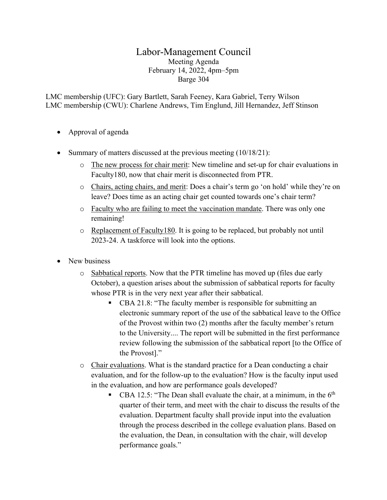## Labor-Management Council Meeting Agenda February 14, 2022, 4pm–5pm Barge 304

LMC membership (UFC): Gary Bartlett, Sarah Feeney, Kara Gabriel, Terry Wilson LMC membership (CWU): Charlene Andrews, Tim Englund, Jill Hernandez, Jeff Stinson

- Approval of agenda
- Summary of matters discussed at the previous meeting (10/18/21):
	- o The new process for chair merit: New timeline and set-up for chair evaluations in Faculty180, now that chair merit is disconnected from PTR.
	- o Chairs, acting chairs, and merit: Does a chair's term go 'on hold' while they're on leave? Does time as an acting chair get counted towards one's chair term?
	- o Faculty who are failing to meet the vaccination mandate. There was only one remaining!
	- o Replacement of Faculty180. It is going to be replaced, but probably not until 2023-24. A taskforce will look into the options.
- New business
	- $\circ$  Sabbatical reports. Now that the PTR timeline has moved up (files due early October), a question arises about the submission of sabbatical reports for faculty whose PTR is in the very next year after their sabbatical.
		- CBA 21.8: "The faculty member is responsible for submitting an electronic summary report of the use of the sabbatical leave to the Office of the Provost within two (2) months after the faculty member's return to the University.... The report will be submitted in the first performance review following the submission of the sabbatical report [to the Office of the Provost]."
	- $\circ$  Chair evaluations. What is the standard practice for a Dean conducting a chair evaluation, and for the follow-up to the evaluation? How is the faculty input used in the evaluation, and how are performance goals developed?
		- CBA 12.5: "The Dean shall evaluate the chair, at a minimum, in the  $6<sup>th</sup>$ quarter of their term, and meet with the chair to discuss the results of the evaluation. Department faculty shall provide input into the evaluation through the process described in the college evaluation plans. Based on the evaluation, the Dean, in consultation with the chair, will develop performance goals."